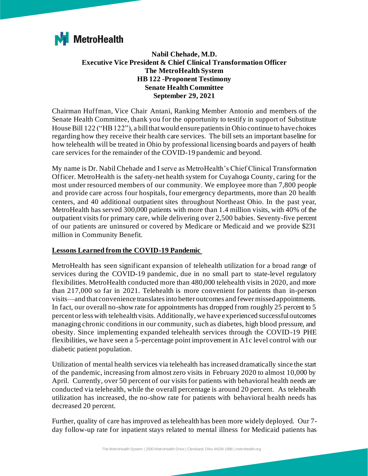

**Nabil Chehade, M.D. Executive Vice President & Chief Clinical Transformation Officer The MetroHealth System HB 122 -Proponent Testimony Senate Health Committee September 29, 2021**

Chairman Huffman, Vice Chair Antani, Ranking Member Antonio and members of the Senate Health Committee, thank you for the opportunity to testify in support of Substitute House Bill 122 ("HB 122"), a bill that would ensure patients in Ohio continue to have choices regarding how they receive their health care services. The bill sets an important baseline for how telehealth will be treated in Ohio by professional licensing boards and payers of health care services for the remainder of the COVID-19 pandemic and beyond.

My name is Dr. Nabil Chehade and I serve as MetroHealth's Chief Clinical Transformation Officer. MetroHealth is the safety-net health system for Cuyahoga County, caring for the most under resourced members of our community. We employee more than 7,800 people and provide care across four hospitals, four emergency departments, more than 20 health centers, and 40 additional outpatient sites throughout Northeast Ohio. In the past year, MetroHealth has served 300,000 patients with more than 1.4 million visits, with 40% of the outpatient visits for primary care, while delivering over 2,500 babies. Seventy-five percent of our patients are uninsured or covered by Medicare or Medicaid and we provide \$231 million in Community Benefit.

## **Lessons Learned from the COVID-19 Pandemic**

MetroHealth has seen significant expansion of telehealth utilization for a broad range of services during the COVID-19 pandemic, due in no small part to state-level regulatory flexibilities. MetroHealth conducted more than 480,000 telehealth visits in 2020, and more than 217,000 so far in 2021. Telehealth is more convenient for patients than in-person visits—and that convenience translates into better outcomes and fewer missed appointments. In fact, our overall no-show rate for appointments has dropped from roughly 25 percent to 5 percent or less with telehealth visits. Additionally, we have experienced successful outcomes managing chronic conditions in our community, such as diabetes, high blood pressure, and obesity. Since implementing expanded telehealth services through the COVID-19 PHE flexibilities, we have seen a 5-percentage point improvement in A1c level control with our diabetic patient population.

Utilization of mental health services via telehealth has increased dramatically since the start of the pandemic, increasing from almost zero visits in February 2020 to almost 10,000 by April. Currently, over 50 percent of our visits for patients with behavioral health needs are conducted via telehealth, while the overall percentage is around 20 percent. As telehealth utilization has increased, the no-show rate for patients with behavioral health needs has decreased 20 percent.

Further, quality of care has improved as telehealth has been more widely deployed. Our 7 day follow-up rate for inpatient stays related to mental illness for Medicaid patients has